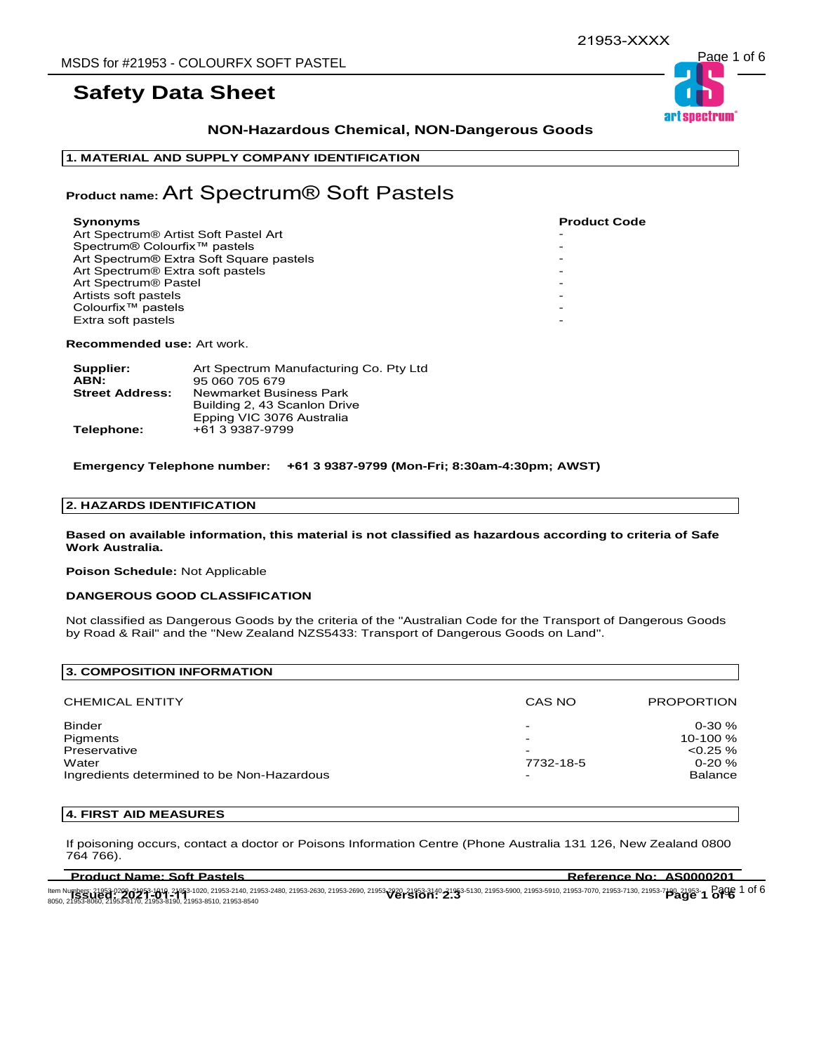## **NON-Hazardous Chemical, NON-Dangerous Goods**

## **1. MATERIAL AND SUPPLY COMPANY IDENTIFICATION**

## **Product name:** Art Spectrum® Soft Pastels

| Synonyms                                     | <b>Product Code</b> |
|----------------------------------------------|---------------------|
| Art Spectrum® Artist Soft Pastel Art         |                     |
| Spectrum® Colourfix <sup>™</sup> pastels     |                     |
| Art Spectrum® Extra Soft Square pastels      |                     |
| Art Spectrum <sup>®</sup> Extra soft pastels |                     |
| Art Spectrum <sup>®</sup> Pastel             |                     |
| Artists soft pastels                         |                     |
| Colourfix <sup>™</sup> pastels               |                     |
| Extra soft pastels                           |                     |
|                                              |                     |

**Recommended use:** Art work.

| Supplier:              | Art Spectrum Manufacturing Co. Pty Ltd |
|------------------------|----------------------------------------|
| ABN:                   | 95 060 705 679                         |
| <b>Street Address:</b> | Newmarket Business Park                |
|                        | Building 2, 43 Scanlon Drive           |
|                        | Epping VIC 3076 Australia              |
| Telephone:             | +61 3 9387-9799                        |

**Emergency Telephone number: +61 3 9387-9799 (Mon-Fri; 8:30am-4:30pm; AWST)**

## **2. HAZARDS IDENTIFICATION**

**Based on available information, this material is not classified as hazardous according to criteria of Safe Work Australia.**

**Poison Schedule:** Not Applicable

#### **DANGEROUS GOOD CLASSIFICATION**

Not classified as Dangerous Goods by the criteria of the "Australian Code for the Transport of Dangerous Goods by Road & Rail" and the "New Zealand NZS5433: Transport of Dangerous Goods on Land".

| <b>3. COMPOSITION INFORMATION</b>                                                                |                               |                                                                         |
|--------------------------------------------------------------------------------------------------|-------------------------------|-------------------------------------------------------------------------|
| <b>CHEMICAL ENTITY</b>                                                                           | CAS NO                        | <b>PROPORTION</b>                                                       |
| <b>Binder</b><br>Pigments<br>Preservative<br>Water<br>Ingredients determined to be Non-Hazardous | -<br>-<br>-<br>7732-18-5<br>- | $0 - 30 \%$<br>10-100 %<br>$< 0.25 \%$<br>$0 - 20 \%$<br><b>Balance</b> |

## **4. FIRST AID MEASURES**

If poisoning occurs, contact a doctor or Poisons Information Centre (Phone Australia 131 126, New Zealand 0800 764 766).

| ltem Numbers; 21953-0209-21953-1010, 21953-1020, 21953-2140, 21953-2480, 21953-2630, 21953-2690, 21953-3140, 21953-5130, 21953-5900, 21953-5910, 21953-7070, 21953-7130, 21953-7190, 21953-7<br>3050, 21953-8060, 21953-8170, 219 |
|-----------------------------------------------------------------------------------------------------------------------------------------------------------------------------------------------------------------------------------|
|-----------------------------------------------------------------------------------------------------------------------------------------------------------------------------------------------------------------------------------|



**Product Name: Soft Pastels Reference No: AS0000201**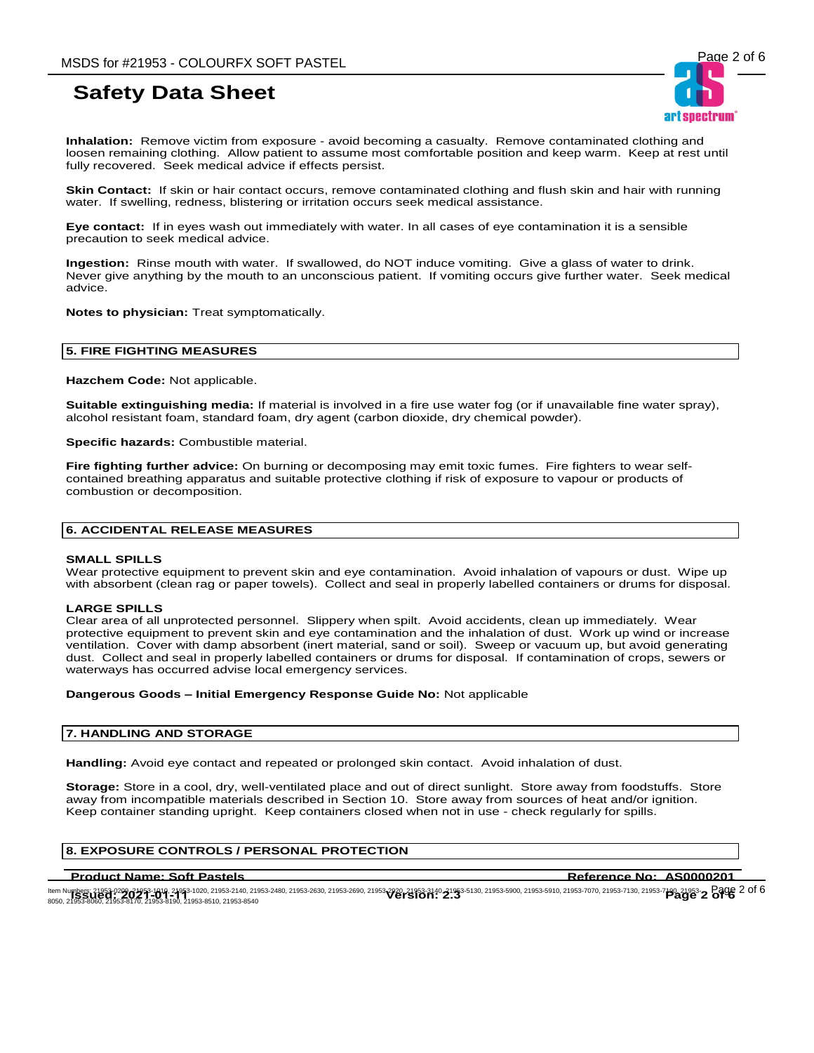**Inhalation:** Remove victim from exposure - avoid becoming a casualty. Remove contaminated clothing and loosen remaining clothing. Allow patient to assume most comfortable position and keep warm. Keep at rest until fully recovered. Seek medical advice if effects persist.

**Skin Contact:** If skin or hair contact occurs, remove contaminated clothing and flush skin and hair with running water. If swelling, redness, blistering or irritation occurs seek medical assistance.

**Eye contact:** If in eyes wash out immediately with water. In all cases of eye contamination it is a sensible precaution to seek medical advice.

**Ingestion:** Rinse mouth with water. If swallowed, do NOT induce vomiting. Give a glass of water to drink. Never give anything by the mouth to an unconscious patient. If vomiting occurs give further water. Seek medical advice.

**Notes to physician:** Treat symptomatically.

## **5. FIRE FIGHTING MEASURES**

**Hazchem Code:** Not applicable.

**Suitable extinguishing media:** If material is involved in a fire use water fog (or if unavailable fine water spray), alcohol resistant foam, standard foam, dry agent (carbon dioxide, dry chemical powder).

**Specific hazards:** Combustible material.

**Fire fighting further advice:** On burning or decomposing may emit toxic fumes. Fire fighters to wear selfcontained breathing apparatus and suitable protective clothing if risk of exposure to vapour or products of combustion or decomposition.

### **6. ACCIDENTAL RELEASE MEASURES**

#### **SMALL SPILLS**

Wear protective equipment to prevent skin and eye contamination. Avoid inhalation of vapours or dust. Wipe up with absorbent (clean rag or paper towels). Collect and seal in properly labelled containers or drums for disposal.

#### **LARGE SPILLS**

Clear area of all unprotected personnel. Slippery when spilt. Avoid accidents, clean up immediately. Wear protective equipment to prevent skin and eye contamination and the inhalation of dust. Work up wind or increase ventilation. Cover with damp absorbent (inert material, sand or soil). Sweep or vacuum up, but avoid generating dust. Collect and seal in properly labelled containers or drums for disposal. If contamination of crops, sewers or waterways has occurred advise local emergency services.

#### **Dangerous Goods – Initial Emergency Response Guide No:** Not applicable

#### **7. HANDLING AND STORAGE**

**Handling:** Avoid eye contact and repeated or prolonged skin contact. Avoid inhalation of dust.

**Storage:** Store in a cool, dry, well-ventilated place and out of direct sunlight. Store away from foodstuffs. Store away from incompatible materials described in Section 10. Store away from sources of heat and/or ignition. Keep container standing upright. Keep containers closed when not in use - check regularly for spills.

## **8. EXPOSURE CONTROLS / PERSONAL PROTECTION**

#### **Product Name: Soft Pastels Reference No: AS0000201**

ltem Numbers: 21953-0209-21953-1010, 21953-1020, 21953-2140, 21953-2480, 21953-2630, 21953-2690, 21953-3120, 21953-3130, 21953-590, 21953-5910, 21953-5910, 21953-7070, 21953-7130, 21953-7130, 21953-7<br>ROFO 21953-0061-2195-2 ltem Numbers: 21953-0209-21953-1010, 21953-1020, 21953-2140, 21953-2480, 21953-2690, 21953-920, 21953-3140-21953-5130, 21953-5900, 21953-5910, 21953-7070, 21953-7130, 21953-7130, 21953-7<br>8050, 21953-8060, 21953-8170, 21953

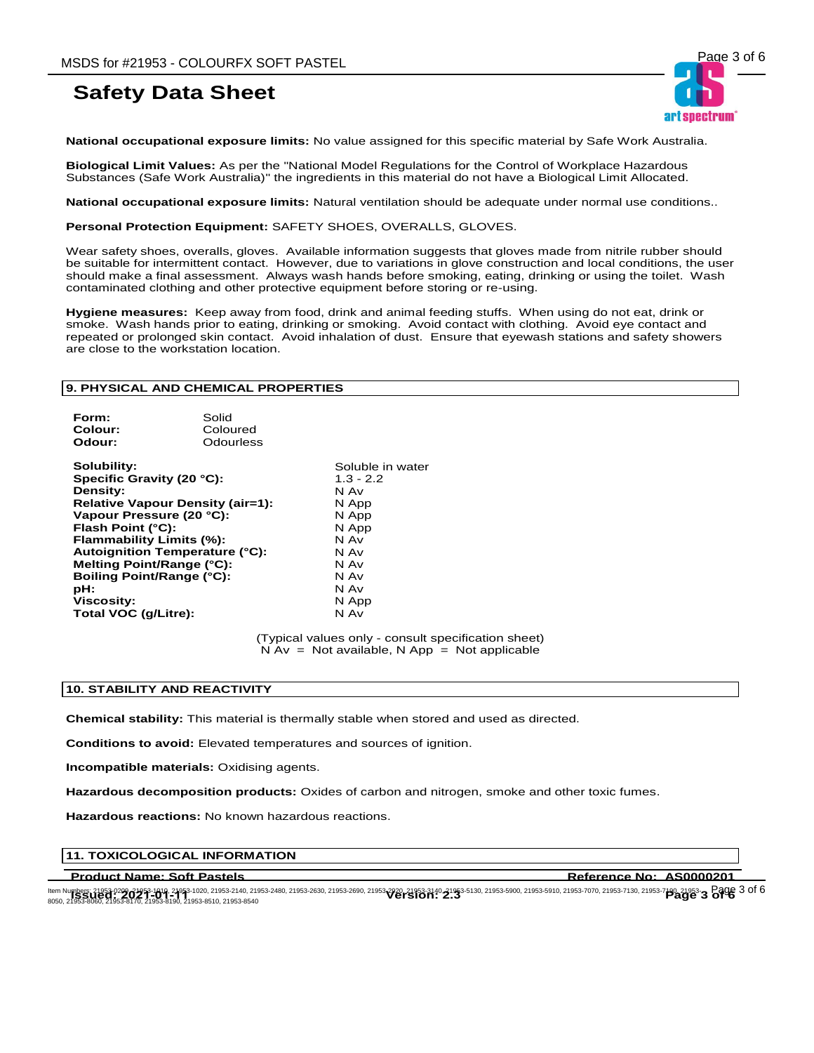

**National occupational exposure limits:** No value assigned for this specific material by Safe Work Australia.

**Biological Limit Values:** As per the "National Model Regulations for the Control of Workplace Hazardous Substances (Safe Work Australia)" the ingredients in this material do not have a Biological Limit Allocated.

**National occupational exposure limits:** Natural ventilation should be adequate under normal use conditions..

**Personal Protection Equipment:** SAFETY SHOES, OVERALLS, GLOVES.

Wear safety shoes, overalls, gloves. Available information suggests that gloves made from nitrile rubber should be suitable for intermittent contact. However, due to variations in glove construction and local conditions, the user should make a final assessment. Always wash hands before smoking, eating, drinking or using the toilet. Wash contaminated clothing and other protective equipment before storing or re-using.

**Hygiene measures:** Keep away from food, drink and animal feeding stuffs. When using do not eat, drink or smoke. Wash hands prior to eating, drinking or smoking. Avoid contact with clothing. Avoid eye contact and repeated or prolonged skin contact. Avoid inhalation of dust. Ensure that eyewash stations and safety showers are close to the workstation location.

## **9. PHYSICAL AND CHEMICAL PROPERTIES**

| Form:   | Solid     |
|---------|-----------|
| Colour: | Coloured  |
| Odour:  | Odourless |
|         |           |

**Solubility:**<br> **Soluble in water**<br> **Specific Gravity (20 °C):**<br> **Solubility:**  $\begin{array}{r} 4.3 - 2.2 \end{array}$ **Specific Gravity (20 °C):** 1.3 -<br>**Density:** N Av **Density: Relative Vapour Density (air=1):** N App **Vapour Pressure (20 °C):** N App<br>**Flash Point (°C):** N App **Flash Point (°C): Flammability Limits (%):** N Av<br>**Autoignition Temperature (°C):** N Av **Autoignition Temperature (°C):** N Av<br>**Melting Point/Range (°C):** N Av **Melting Point/Range (°C):** N Av **Boiling Point/Range (°C): pH:** N Av **Viscosity:** N App **Total VOC (g/Litre):** 

(Typical values only - consult specification sheet)  $N Av = Not available, N App = Not applicable$ 

#### **10. STABILITY AND REACTIVITY**

**Chemical stability:** This material is thermally stable when stored and used as directed.

**Conditions to avoid:** Elevated temperatures and sources of ignition.

**Incompatible materials:** Oxidising agents.

**Hazardous decomposition products:** Oxides of carbon and nitrogen, smoke and other toxic fumes.

**Hazardous reactions:** No known hazardous reactions.

## **11. TOXICOLOGICAL INFORMATION**

**Product Name: Soft Pastels Reference No: AS0000201** 

ltem Numbers: 21953-0209-21953-1010, 21953-1020, 21953-2140, 21953-2480, 21953-2630, 21953-2690, 21953-3120, 21953-3130, 21953-5900, 21953-5910, 21953-5910, 21953-7070, 21953-7130, 21953-7130, 21953-7<br>ROFO 21953-0061-2195ltem Numbers: 21953-0209-21953-1010, 21953-1020, 21953-2140, 21953-2480, 21953-2690, 21953-920, 21953-3140-21953-5130, 21953-5900, 21953-5910, 21953-5970, 21953-7130, 21953-7130, 21953-7<br>8050, 21953-8060, 21953-8170, 21953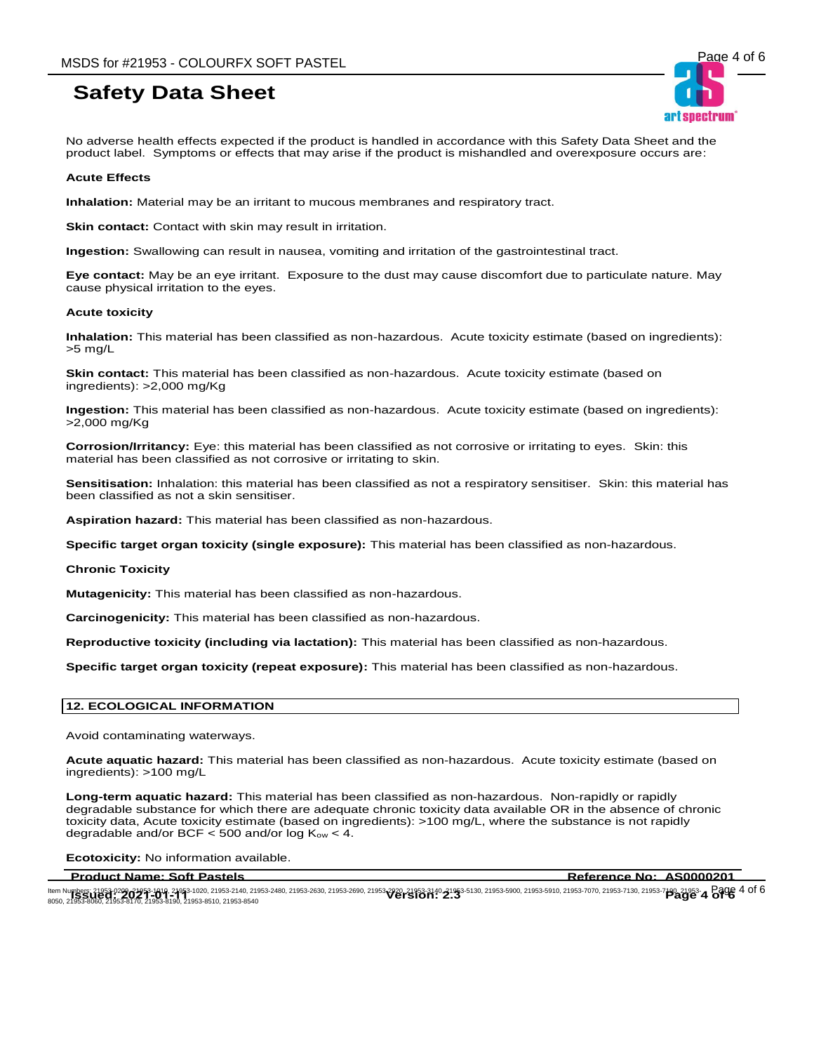No adverse health effects expected if the product is handled in accordance with this Safety Data Sheet and the product label. Symptoms or effects that may arise if the product is mishandled and overexposure occurs are:

### **Acute Effects**

**Inhalation:** Material may be an irritant to mucous membranes and respiratory tract.

**Skin contact:** Contact with skin may result in irritation.

**Ingestion:** Swallowing can result in nausea, vomiting and irritation of the gastrointestinal tract.

**Eye contact:** May be an eye irritant. Exposure to the dust may cause discomfort due to particulate nature. May cause physical irritation to the eyes.

#### **Acute toxicity**

**Inhalation:** This material has been classified as non-hazardous. Acute toxicity estimate (based on ingredients): >5 mg/L

**Skin contact:** This material has been classified as non-hazardous. Acute toxicity estimate (based on ingredients): >2,000 mg/Kg

**Ingestion:** This material has been classified as non-hazardous. Acute toxicity estimate (based on ingredients): >2,000 mg/Kg

**Corrosion/Irritancy:** Eye: this material has been classified as not corrosive or irritating to eyes. Skin: this material has been classified as not corrosive or irritating to skin.

**Sensitisation:** Inhalation: this material has been classified as not a respiratory sensitiser. Skin: this material has been classified as not a skin sensitiser.

**Aspiration hazard:** This material has been classified as non-hazardous.

**Specific target organ toxicity (single exposure):** This material has been classified as non-hazardous.

#### **Chronic Toxicity**

**Mutagenicity:** This material has been classified as non-hazardous.

**Carcinogenicity:** This material has been classified as non-hazardous.

**Reproductive toxicity (including via lactation):** This material has been classified as non-hazardous.

**Specific target organ toxicity (repeat exposure):** This material has been classified as non-hazardous.

### **12. ECOLOGICAL INFORMATION**

Avoid contaminating waterways.

**Acute aquatic hazard:** This material has been classified as non-hazardous. Acute toxicity estimate (based on ingredients): >100 mg/L

**Long-term aquatic hazard:** This material has been classified as non-hazardous. Non-rapidly or rapidly degradable substance for which there are adequate chronic toxicity data available OR in the absence of chronic toxicity data, Acute toxicity estimate (based on ingredients): >100 mg/L, where the substance is not rapidly degradable and/or BCF  $<$  500 and/or log K<sub>ow</sub>  $<$  4.

**Ecotoxicity:** No information available.

**Product Name: Soft Pastels Reference No: AS0000201** 

ltem Numbers: 21953-0209-21953-1010, 21953-1020, 21953-2140, 21953-2480, 21953-2630, 21953-2690, 21953-3120, 21953-3130, 21953-5900, 21953-5910, 21953-5910, 21953-7070, 21953-7130, 21953-7130, 21953-7<br>ROFO 21953-0061-2195ltem Numbers: 21953-0209-21953-1010, 21953-1020, 21953-2140, 21953-2480, 21953-2690, 21953-920, 21953-3140-21953-5130, 21953-5900, 21953-5910, 21953-7070, 21953-7130, 21953-7130, 21953-<br>8050, 21953-8060, 21953-8170, 21953-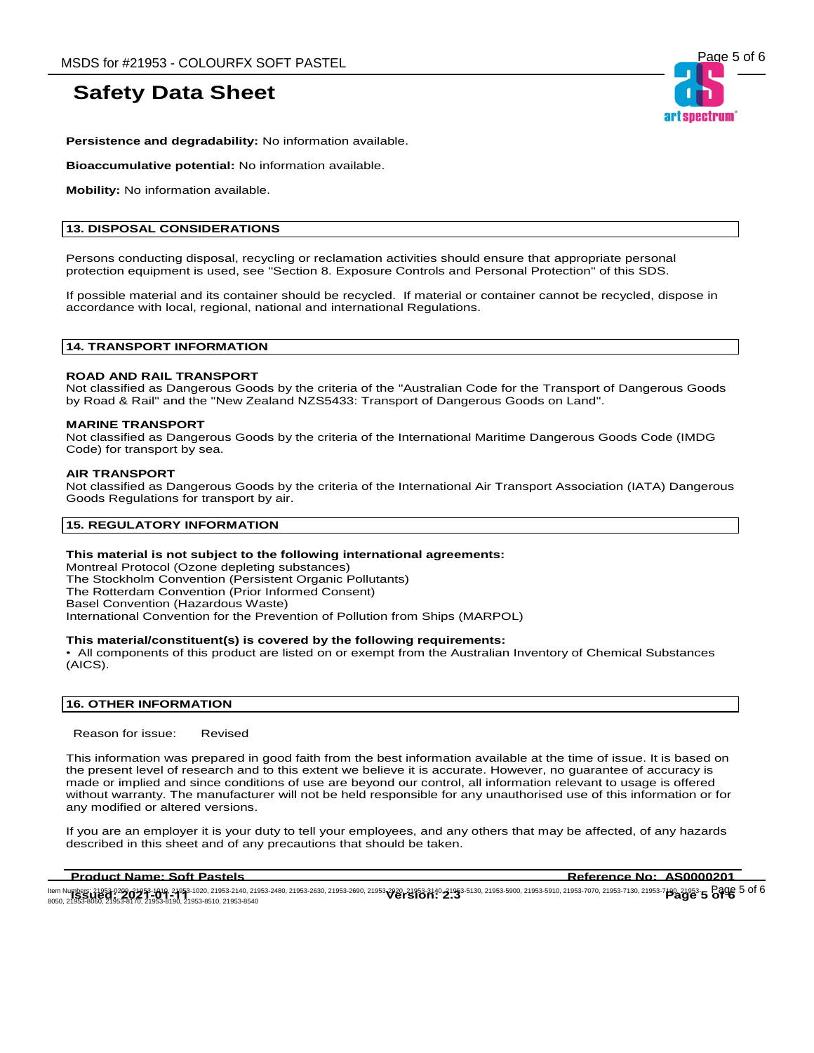

**Persistence and degradability:** No information available.

**Bioaccumulative potential:** No information available.

**Mobility:** No information available.

## **13. DISPOSAL CONSIDERATIONS**

Persons conducting disposal, recycling or reclamation activities should ensure that appropriate personal protection equipment is used, see "Section 8. Exposure Controls and Personal Protection" of this SDS.

If possible material and its container should be recycled. If material or container cannot be recycled, dispose in accordance with local, regional, national and international Regulations.

### **14. TRANSPORT INFORMATION**

### **ROAD AND RAIL TRANSPORT**

Not classified as Dangerous Goods by the criteria of the "Australian Code for the Transport of Dangerous Goods by Road & Rail" and the "New Zealand NZS5433: Transport of Dangerous Goods on Land".

#### **MARINE TRANSPORT**

Not classified as Dangerous Goods by the criteria of the International Maritime Dangerous Goods Code (IMDG Code) for transport by sea.

#### **AIR TRANSPORT**

Not classified as Dangerous Goods by the criteria of the International Air Transport Association (IATA) Dangerous Goods Regulations for transport by air.

#### **15. REGULATORY INFORMATION**

### **This material is not subject to the following international agreements:**

Montreal Protocol (Ozone depleting substances) The Stockholm Convention (Persistent Organic Pollutants) The Rotterdam Convention (Prior Informed Consent) Basel Convention (Hazardous Waste) International Convention for the Prevention of Pollution from Ships (MARPOL)

#### **This material/constituent(s) is covered by the following requirements:**

• All components of this product are listed on or exempt from the Australian Inventory of Chemical Substances (AICS).

## **16. OTHER INFORMATION**

Reason for issue: Revised

This information was prepared in good faith from the best information available at the time of issue. It is based on the present level of research and to this extent we believe it is accurate. However, no guarantee of accuracy is made or implied and since conditions of use are beyond our control, all information relevant to usage is offered without warranty. The manufacturer will not be held responsible for any unauthorised use of this information or for any modified or altered versions.

If you are an employer it is your duty to tell your employees, and any others that may be affected, of any hazards described in this sheet and of any precautions that should be taken.

**Product Name: Soft Pastels Reference No: AS0000201** 

ltem Numbers: 21953-0209-21953-1010, 21953-1020, 21953-2140, 21953-2480, 21953-2630, 21953-2690, 21953-3120, 21953-3130, 21953-5900, 21953-5910, 21953-5910, 21953-7070, 21953-7130, 21953-7130, 21953- Page 5 01 6<br>ROFO 21953 ltem Numbers: 21953-0209-21953-1010, 21953-1020, 21953-2140, 21953-2480, 21953-2690, 21953-920, 21953-3140-21953-5130, 21953-5900, 21953-5910, 21953-5970, 21953-7130, 21953-7130, 21953-7<br>8050, 21953-8060, 21953-8170, 21953